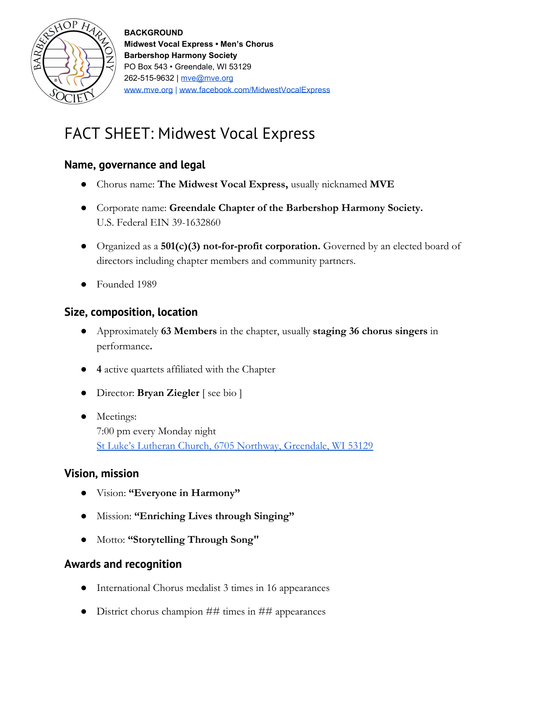

**BACKGROUND Midwest Vocal Express • Men's Chorus Barbershop Harmony Society** PO Box 543 • Greendale, WI 53129 262-515-9632 | [mve@mve.org](mailto:mve@mve.org) [www.mve.org](http://www.mve.org/) | [www.facebook.com/MidwestVocalExpress](https://www.facebook.com/MidwestVocalExpress/)

# FACT SHEET: Midwest Vocal Express

## **Name, governance and legal**

- Chorus name: **The Midwest Vocal Express,** usually nicknamed **MVE**
- Corporate name: **Greendale Chapter of the Barbershop Harmony Society.** U.S. Federal EIN 39-1632860
- Organized as a **501(c)(3) not-for-profit corporation.** Governed by an elected board of directors including chapter members and community partners.
- Founded 1989

### **Size, composition, location**

- Approximately **63 Members** in the chapter, usually **staging 36 chorus singers** in performance**.**
- **4** active quartets affiliated with the Chapter
- Director: **Bryan Ziegler** [ see bio ]
- Meetings: 7:00 pm every Monday night [St Luke's Lutheran Church, 6705 Northway, Greendale, WI 53129](https://goo.gl/maps/hY2kg8RPZ8H2)

#### **Vision, mission**

- Vision: **"Everyone in Harmony"**
- Mission: **"Enriching Lives through Singing"**
- Motto: **"Storytelling Through Song"**

#### **Awards and recognition**

- International Chorus medalist 3 times in 16 appearances
- District chorus champion ## times in ## appearances